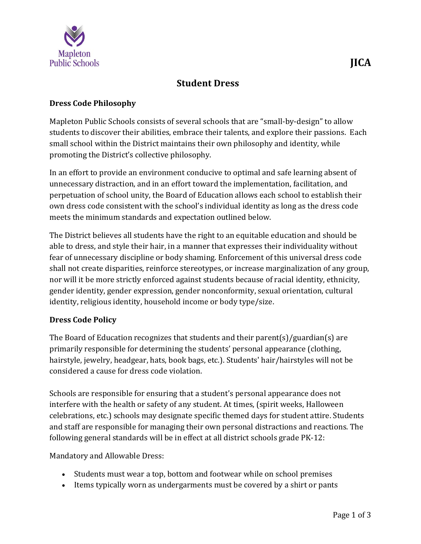

## **Dress Code Philosophy**

Mapleton Public Schools consists of several schools that are "small-by-design" to allow students to discover their abilities, embrace their talents, and explore their passions. Each small school within the District maintains their own philosophy and identity, while promoting the District's collective philosophy.

In an effort to provide an environment conducive to optimal and safe learning absent of unnecessary distraction, and in an effort toward the implementation, facilitation, and perpetuation of school unity, the Board of Education allows each school to establish their own dress code consistent with the school's individual identity as long as the dress code meets the minimum standards and expectation outlined below.

The District believes all students have the right to an equitable education and should be able to dress, and style their hair, in a manner that expresses their individuality without fear of unnecessary discipline or body shaming. Enforcement of this universal dress code shall not create disparities, reinforce stereotypes, or increase marginalization of any group, nor will it be more strictly enforced against students because of racial identity, ethnicity, gender identity, gender expression, gender nonconformity, sexual orientation, cultural identity, religious identity, household income or body type/size.

## **Dress Code Policy**

The Board of Education recognizes that students and their parent(s)/guardian(s) are primarily responsible for determining the students' personal appearance (clothing, hairstyle, jewelry, headgear, hats, book bags, etc.). Students' hair/hairstyles will not be considered a cause for dress code violation.

Schools are responsible for ensuring that a student's personal appearance does not interfere with the health or safety of any student. At times, (spirit weeks, Halloween celebrations, etc.) schools may designate specific themed days for student attire. Students and staff are responsible for managing their own personal distractions and reactions. The following general standards will be in effect at all district schools grade PK-12:

Mandatory and Allowable Dress:

- Students must wear a top, bottom and footwear while on school premises
- Items typically worn as undergarments must be covered by a shirt or pants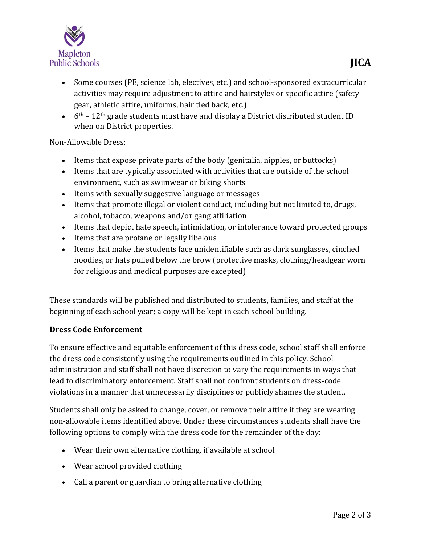

- Some courses (PE, science lab, electives, etc.) and school-sponsored extracurricular activities may require adjustment to attire and hairstyles or specific attire (safety gear, athletic attire, uniforms, hair tied back, etc.)
- $\bullet$  6<sup>th</sup> 12<sup>th</sup> grade students must have and display a District distributed student ID when on District properties.

## Non-Allowable Dress:

- Items that expose private parts of the body (genitalia, nipples, or buttocks)
- Items that are typically associated with activities that are outside of the school environment, such as swimwear or biking shorts
- Items with sexually suggestive language or messages
- Items that promote illegal or violent conduct, including but not limited to, drugs, alcohol, tobacco, weapons and/or gang affiliation
- Items that depict hate speech, intimidation, or intolerance toward protected groups
- Items that are profane or legally libelous
- Items that make the students face unidentifiable such as dark sunglasses, cinched hoodies, or hats pulled below the brow (protective masks, clothing/headgear worn for religious and medical purposes are excepted)

These standards will be published and distributed to students, families, and staff at the beginning of each school year; a copy will be kept in each school building.

## **Dress Code Enforcement**

To ensure effective and equitable enforcement of this dress code, school staff shall enforce the dress code consistently using the requirements outlined in this policy. School administration and staff shall not have discretion to vary the requirements in ways that lead to discriminatory enforcement. Staff shall not confront students on dress-code violations in a manner that unnecessarily disciplines or publicly shames the student.

Students shall only be asked to change, cover, or remove their attire if they are wearing non-allowable items identified above. Under these circumstances students shall have the following options to comply with the dress code for the remainder of the day:

- Wear their own alternative clothing, if available at school
- Wear school provided clothing
- Call a parent or guardian to bring alternative clothing